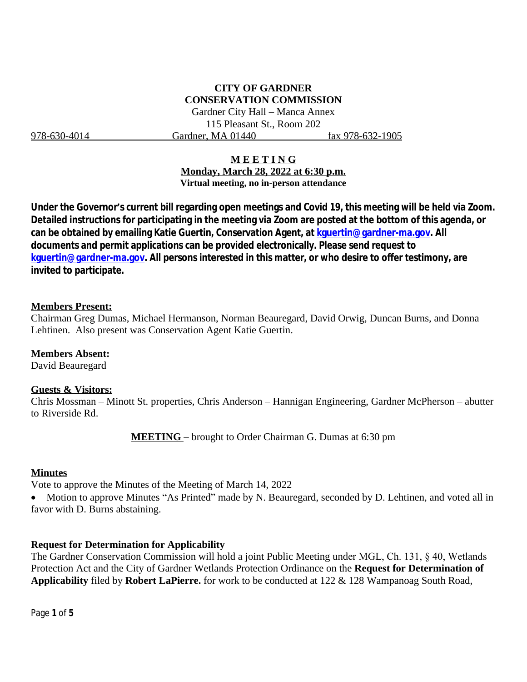# **CITY OF GARDNER CONSERVATION COMMISSION**

Gardner City Hall – Manca Annex 115 Pleasant St., Room 202 978-630-4014 Gardner, MA 01440 fax 978-632-1905

### **M E E T I N G**

**Monday, March 28, 2022 at 6:30 p.m. Virtual meeting, no in-person attendance**

**Under the Governor's current bill regarding open meetings and Covid 19, this meeting will be held via Zoom. Detailed instructions for participating in the meeting via Zoom are posted at the bottom of this agenda, or can be obtained by emailing Katie Guertin, Conservation Agent, at [kguertin@gardner-ma.gov. All](mailto:kguertin@gardner-ma.gov)  [documents and permit applications can be provided electronically. Please send request to](mailto:kguertin@gardner-ma.gov)  [kguertin@gardner-ma.gov.](mailto:kguertin@gardner-ma.gov) All persons interested in this matter, or who desire to offer testimony, are invited to participate.**

### **Members Present:**

Chairman Greg Dumas, Michael Hermanson, Norman Beauregard, David Orwig, Duncan Burns, and Donna Lehtinen. Also present was Conservation Agent Katie Guertin.

### **Members Absent:**

David Beauregard

### **Guests & Visitors:**

Chris Mossman – Minott St. properties, Chris Anderson – Hannigan Engineering, Gardner McPherson – abutter to Riverside Rd.

**MEETING** – brought to Order Chairman G. Dumas at 6:30 pm

### **Minutes**

Vote to approve the Minutes of the Meeting of March 14, 2022

• Motion to approve Minutes "As Printed" made by N. Beauregard, seconded by D. Lehtinen, and voted all in favor with D. Burns abstaining.

## **Request for Determination for Applicability**

The Gardner Conservation Commission will hold a joint Public Meeting under MGL, Ch. 131, § 40, Wetlands Protection Act and the City of Gardner Wetlands Protection Ordinance on the **Request for Determination of Applicability** filed by **Robert LaPierre.** for work to be conducted at 122 & 128 Wampanoag South Road,

Page **1** of **5**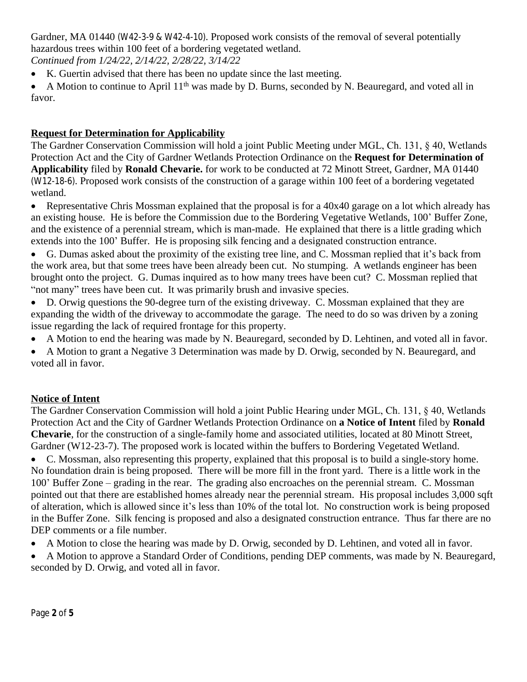Gardner, MA 01440 (W42-3-9 & W42-4-10). Proposed work consists of the removal of several potentially hazardous trees within 100 feet of a bordering vegetated wetland.

*Continued from 1/24/22, 2/14/22, 2/28/22, 3/14/22*

- K. Guertin advised that there has been no update since the last meeting.
- A Motion to continue to April  $11<sup>th</sup>$  was made by D. Burns, seconded by N. Beauregard, and voted all in favor.

# **Request for Determination for Applicability**

The Gardner Conservation Commission will hold a joint Public Meeting under MGL, Ch. 131, § 40, Wetlands Protection Act and the City of Gardner Wetlands Protection Ordinance on the **Request for Determination of Applicability** filed by **Ronald Chevarie.** for work to be conducted at 72 Minott Street, Gardner, MA 01440 (W12-18-6). Proposed work consists of the construction of a garage within 100 feet of a bordering vegetated wetland.

• Representative Chris Mossman explained that the proposal is for a 40x40 garage on a lot which already has an existing house. He is before the Commission due to the Bordering Vegetative Wetlands, 100' Buffer Zone, and the existence of a perennial stream, which is man-made. He explained that there is a little grading which extends into the 100' Buffer. He is proposing silk fencing and a designated construction entrance.

 G. Dumas asked about the proximity of the existing tree line, and C. Mossman replied that it's back from the work area, but that some trees have been already been cut. No stumping. A wetlands engineer has been brought onto the project. G. Dumas inquired as to how many trees have been cut? C. Mossman replied that "not many" trees have been cut. It was primarily brush and invasive species.

- D. Orwig questions the 90-degree turn of the existing driveway. C. Mossman explained that they are expanding the width of the driveway to accommodate the garage. The need to do so was driven by a zoning issue regarding the lack of required frontage for this property.
- A Motion to end the hearing was made by N. Beauregard, seconded by D. Lehtinen, and voted all in favor.
- A Motion to grant a Negative 3 Determination was made by D. Orwig, seconded by N. Beauregard, and voted all in favor.

## **Notice of Intent**

The Gardner Conservation Commission will hold a joint Public Hearing under MGL, Ch. 131, § 40, Wetlands Protection Act and the City of Gardner Wetlands Protection Ordinance on **a Notice of Intent** filed by **Ronald Chevarie**, for the construction of a single-family home and associated utilities, located at 80 Minott Street, Gardner (W12-23-7). The proposed work is located within the buffers to Bordering Vegetated Wetland.

 C. Mossman, also representing this property, explained that this proposal is to build a single-story home. No foundation drain is being proposed. There will be more fill in the front yard. There is a little work in the 100' Buffer Zone – grading in the rear. The grading also encroaches on the perennial stream. C. Mossman pointed out that there are established homes already near the perennial stream. His proposal includes 3,000 sqft of alteration, which is allowed since it's less than 10% of the total lot. No construction work is being proposed in the Buffer Zone. Silk fencing is proposed and also a designated construction entrance. Thus far there are no DEP comments or a file number.

- A Motion to close the hearing was made by D. Orwig, seconded by D. Lehtinen, and voted all in favor.
- A Motion to approve a Standard Order of Conditions, pending DEP comments, was made by N. Beauregard, seconded by D. Orwig, and voted all in favor.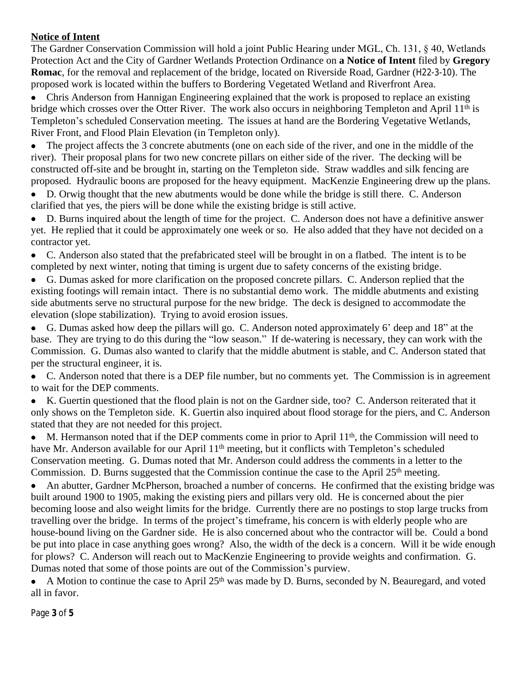# **Notice of Intent**

The Gardner Conservation Commission will hold a joint Public Hearing under MGL, Ch. 131, § 40, Wetlands Protection Act and the City of Gardner Wetlands Protection Ordinance on **a Notice of Intent** filed by **Gregory Romac**, for the removal and replacement of the bridge, located on Riverside Road, Gardner (H22-3-10). The proposed work is located within the buffers to Bordering Vegetated Wetland and Riverfront Area.

 Chris Anderson from Hannigan Engineering explained that the work is proposed to replace an existing bridge which crosses over the Otter River. The work also occurs in neighboring Templeton and April 11<sup>th</sup> is Templeton's scheduled Conservation meeting. The issues at hand are the Bordering Vegetative Wetlands, River Front, and Flood Plain Elevation (in Templeton only).

• The project affects the 3 concrete abutments (one on each side of the river, and one in the middle of the river). Their proposal plans for two new concrete pillars on either side of the river. The decking will be constructed off-site and be brought in, starting on the Templeton side. Straw waddles and silk fencing are proposed. Hydraulic boons are proposed for the heavy equipment. MacKenzie Engineering drew up the plans.

 D. Orwig thought that the new abutments would be done while the bridge is still there. C. Anderson clarified that yes, the piers will be done while the existing bridge is still active.

 D. Burns inquired about the length of time for the project. C. Anderson does not have a definitive answer yet. He replied that it could be approximately one week or so. He also added that they have not decided on a contractor yet.

 C. Anderson also stated that the prefabricated steel will be brought in on a flatbed. The intent is to be completed by next winter, noting that timing is urgent due to safety concerns of the existing bridge.

 G. Dumas asked for more clarification on the proposed concrete pillars. C. Anderson replied that the existing footings will remain intact. There is no substantial demo work. The middle abutments and existing side abutments serve no structural purpose for the new bridge. The deck is designed to accommodate the elevation (slope stabilization). Trying to avoid erosion issues.

 G. Dumas asked how deep the pillars will go. C. Anderson noted approximately 6' deep and 18" at the base. They are trying to do this during the "low season." If de-watering is necessary, they can work with the Commission. G. Dumas also wanted to clarify that the middle abutment is stable, and C. Anderson stated that per the structural engineer, it is.

 C. Anderson noted that there is a DEP file number, but no comments yet. The Commission is in agreement to wait for the DEP comments.

 K. Guertin questioned that the flood plain is not on the Gardner side, too? C. Anderson reiterated that it only shows on the Templeton side. K. Guertin also inquired about flood storage for the piers, and C. Anderson stated that they are not needed for this project.

• M. Hermanson noted that if the DEP comments come in prior to April 11<sup>th</sup>, the Commission will need to have Mr. Anderson available for our April 11<sup>th</sup> meeting, but it conflicts with Templeton's scheduled Conservation meeting. G. Dumas noted that Mr. Anderson could address the comments in a letter to the Commission. D. Burns suggested that the Commission continue the case to the April 25<sup>th</sup> meeting.

 An abutter, Gardner McPherson, broached a number of concerns. He confirmed that the existing bridge was built around 1900 to 1905, making the existing piers and pillars very old. He is concerned about the pier becoming loose and also weight limits for the bridge. Currently there are no postings to stop large trucks from travelling over the bridge. In terms of the project's timeframe, his concern is with elderly people who are house-bound living on the Gardner side. He is also concerned about who the contractor will be. Could a bond be put into place in case anything goes wrong? Also, the width of the deck is a concern. Will it be wide enough for plows? C. Anderson will reach out to MacKenzie Engineering to provide weights and confirmation. G. Dumas noted that some of those points are out of the Commission's purview.

A Motion to continue the case to April  $25<sup>th</sup>$  was made by D. Burns, seconded by N. Beauregard, and voted all in favor.

Page **3** of **5**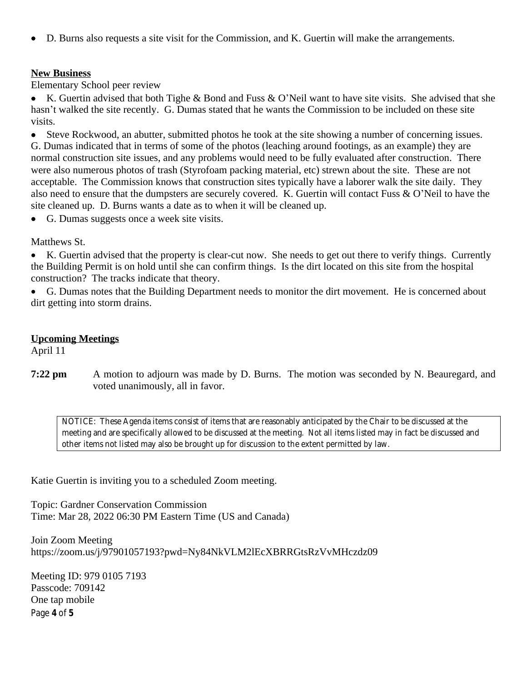D. Burns also requests a site visit for the Commission, and K. Guertin will make the arrangements.

## **New Business**

Elementary School peer review

 K. Guertin advised that both Tighe & Bond and Fuss & O'Neil want to have site visits. She advised that she hasn't walked the site recently. G. Dumas stated that he wants the Commission to be included on these site visits.

 Steve Rockwood, an abutter, submitted photos he took at the site showing a number of concerning issues. G. Dumas indicated that in terms of some of the photos (leaching around footings, as an example) they are normal construction site issues, and any problems would need to be fully evaluated after construction. There were also numerous photos of trash (Styrofoam packing material, etc) strewn about the site. These are not acceptable. The Commission knows that construction sites typically have a laborer walk the site daily. They also need to ensure that the dumpsters are securely covered. K. Guertin will contact Fuss & O'Neil to have the site cleaned up. D. Burns wants a date as to when it will be cleaned up.

G. Dumas suggests once a week site visits.

Matthews St.

 K. Guertin advised that the property is clear-cut now. She needs to get out there to verify things. Currently the Building Permit is on hold until she can confirm things. Is the dirt located on this site from the hospital construction? The tracks indicate that theory.

 G. Dumas notes that the Building Department needs to monitor the dirt movement. He is concerned about dirt getting into storm drains.

## **Upcoming Meetings**

April 11

**7:22 pm** A motion to adjourn was made by D. Burns. The motion was seconded by N. Beauregard, and voted unanimously, all in favor.

*NOTICE: These Agenda items consist of items that are reasonably anticipated by the Chair to be discussed at the meeting and are specifically allowed to be discussed at the meeting. Not all items listed may in fact be discussed and other items not listed may also be brought up for discussion to the extent permitted by law.*

Katie Guertin is inviting you to a scheduled Zoom meeting.

Topic: Gardner Conservation Commission Time: Mar 28, 2022 06:30 PM Eastern Time (US and Canada)

Join Zoom Meeting https://zoom.us/j/97901057193?pwd=Ny84NkVLM2lEcXBRRGtsRzVvMHczdz09

Page **4** of **5** Meeting ID: 979 0105 7193 Passcode: 709142 One tap mobile